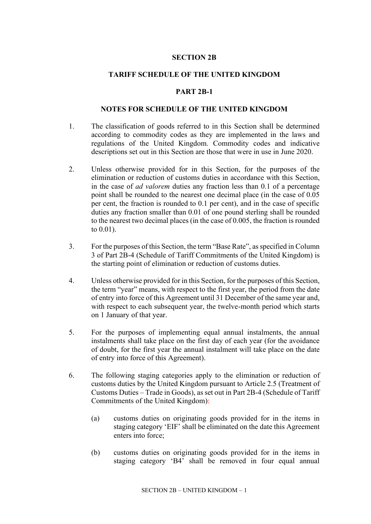### **SECTION 2B**

### **TARIFF SCHEDULE OF THE UNITED KINGDOM**

#### **PART 2B-1**

#### **NOTES FOR SCHEDULE OF THE UNITED KINGDOM**

- 1. The classification of goods referred to in this Section shall be determined according to commodity codes as they are implemented in the laws and regulations of the United Kingdom. Commodity codes and indicative descriptions set out in this Section are those that were in use in June 2020.
- 2. Unless otherwise provided for in this Section, for the purposes of the elimination or reduction of customs duties in accordance with this Section, in the case of *ad valorem* duties any fraction less than 0.1 of a percentage point shall be rounded to the nearest one decimal place (in the case of 0.05 per cent, the fraction is rounded to 0.1 per cent), and in the case of specific duties any fraction smaller than 0.01 of one pound sterling shall be rounded to the nearest two decimal places (in the case of 0.005, the fraction is rounded to 0.01).
- 3. For the purposes of this Section, the term "Base Rate", as specified in Column 3 of Part 2B-4 (Schedule of Tariff Commitments of the United Kingdom) is the starting point of elimination or reduction of customs duties.
- 4. Unless otherwise provided for in this Section, for the purposes of this Section, the term "year" means, with respect to the first year, the period from the date of entry into force of this Agreement until 31 December of the same year and, with respect to each subsequent year, the twelve-month period which starts on 1 January of that year.
- 5. For the purposes of implementing equal annual instalments, the annual instalments shall take place on the first day of each year (for the avoidance of doubt, for the first year the annual instalment will take place on the date of entry into force of this Agreement).
- 6. The following staging categories apply to the elimination or reduction of customs duties by the United Kingdom pursuant to Article 2.5 (Treatment of Customs Duties – Trade in Goods), as set out in Part 2B-4 (Schedule of Tariff Commitments of the United Kingdom):
	- (a) customs duties on originating goods provided for in the items in staging category 'EIF' shall be eliminated on the date this Agreement enters into force;
	- (b) customs duties on originating goods provided for in the items in staging category 'B4' shall be removed in four equal annual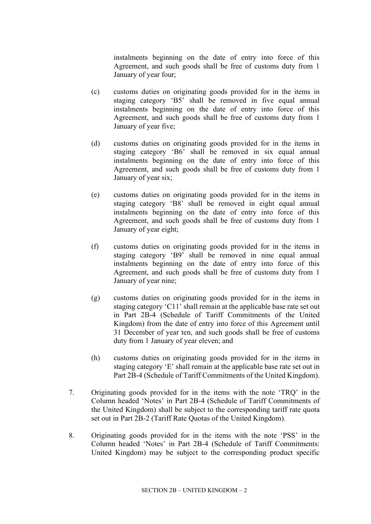instalments beginning on the date of entry into force of this Agreement, and such goods shall be free of customs duty from 1 January of year four;

- (c) customs duties on originating goods provided for in the items in staging category 'B5' shall be removed in five equal annual instalments beginning on the date of entry into force of this Agreement, and such goods shall be free of customs duty from 1 January of year five;
- (d) customs duties on originating goods provided for in the items in staging category 'B6' shall be removed in six equal annual instalments beginning on the date of entry into force of this Agreement, and such goods shall be free of customs duty from 1 January of year six;
- (e) customs duties on originating goods provided for in the items in staging category 'B8' shall be removed in eight equal annual instalments beginning on the date of entry into force of this Agreement, and such goods shall be free of customs duty from 1 January of year eight;
- (f) customs duties on originating goods provided for in the items in staging category 'B9' shall be removed in nine equal annual instalments beginning on the date of entry into force of this Agreement, and such goods shall be free of customs duty from 1 January of year nine;
- (g) customs duties on originating goods provided for in the items in staging category 'C11' shall remain at the applicable base rate set out in Part 2B-4 (Schedule of Tariff Commitments of the United Kingdom) from the date of entry into force of this Agreement until 31 December of year ten, and such goods shall be free of customs duty from 1 January of year eleven; and
- (h) customs duties on originating goods provided for in the items in staging category 'E' shall remain at the applicable base rate set out in Part 2B-4 (Schedule of Tariff Commitments of the United Kingdom).
- 7. Originating goods provided for in the items with the note 'TRQ' in the Column headed 'Notes' in Part 2B-4 (Schedule of Tariff Commitments of the United Kingdom) shall be subject to the corresponding tariff rate quota set out in Part 2B-2 (Tariff Rate Quotas of the United Kingdom).
- 8. Originating goods provided for in the items with the note 'PSS' in the Column headed 'Notes' in Part 2B-4 (Schedule of Tariff Commitments: United Kingdom) may be subject to the corresponding product specific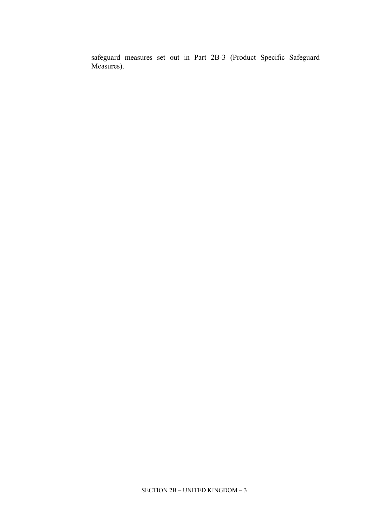safeguard measures set out in Part 2B-3 (Product Specific Safeguard Measures).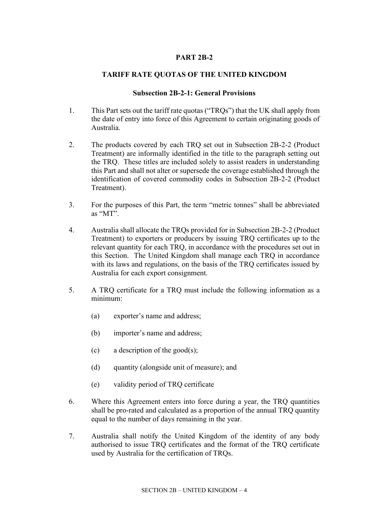## **PART 2B-2**

# **TARIFF RATE QUOTAS OF THE UNITED KINGDOM**

### **Subsection 2B-2-1: General Provisions**

- 1. This Part sets out the tariff rate quotas ("TRQs") that the UK shall apply from the date of entry into force of this Agreement to certain originating goods of Australia.
- 2. The products covered by each TRQ set out in Subsection 2B-2-2 (Product Treatment) are informally identified in the title to the paragraph setting out the TRQ. These titles are included solely to assist readers in understanding this Part and shall not alter or supersede the coverage established through the identification of covered commodity codes in Subsection 2B-2-2 (Product Treatment).
- 3. For the purposes of this Part, the term "metric tonnes" shall be abbreviated as "MT".
- 4. Australia shall allocate the TRQs provided for in Subsection 2B-2-2 (Product Treatment) to exporters or producers by issuing TRQ certificates up to the relevant quantity for each TRQ, in accordance with the procedures set out in this Section. The United Kingdom shall manage each TRQ in accordance with its laws and regulations, on the basis of the TRQ certificates issued by Australia for each export consignment.
- 5. A TRQ certificate for a TRQ must include the following information as a minimum:
	- (a) exporter's name and address;
	- (b) importer's name and address;
	- (c) a description of the good(s);
	- (d) quantity (alongside unit of measure); and
	- (e) validity period of TRQ certificate
- 6. Where this Agreement enters into force during a year, the TRQ quantities shall be pro-rated and calculated as a proportion of the annual TRQ quantity equal to the number of days remaining in the year.
- 7. Australia shall notify the United Kingdom of the identity of any body authorised to issue TRQ certificates and the format of the TRQ certificate used by Australia for the certification of TRQs.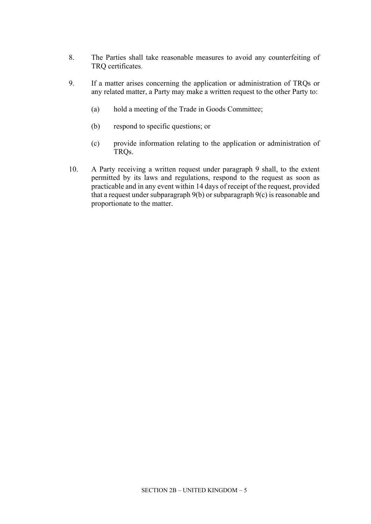- 8. The Parties shall take reasonable measures to avoid any counterfeiting of TRQ certificates.
- 9. If a matter arises concerning the application or administration of TRQs or any related matter, a Party may make a written request to the other Party to:
	- (a) hold a meeting of the Trade in Goods Committee;
	- (b) respond to specific questions; or
	- (c) provide information relating to the application or administration of TRQs.
- 10. A Party receiving a written request under paragraph 9 shall, to the extent permitted by its laws and regulations, respond to the request as soon as practicable and in any event within 14 days of receipt of the request, provided that a request under subparagraph 9(b) or subparagraph 9(c) is reasonable and proportionate to the matter.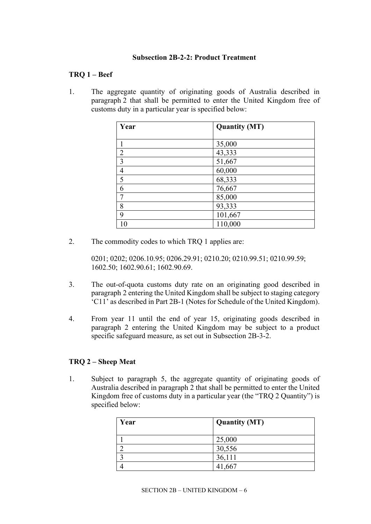### **Subsection 2B-2-2: Product Treatment**

## **TRQ 1 – Beef**

1. The aggregate quantity of originating goods of Australia described in paragraph 2 that shall be permitted to enter the United Kingdom free of customs duty in a particular year is specified below:

| Year           | <b>Quantity (MT)</b> |
|----------------|----------------------|
|                |                      |
|                | 35,000               |
| $\overline{2}$ | 43,333               |
| 3              | 51,667               |
| $\overline{4}$ | 60,000               |
| 5              | 68,333               |
| 6              | 76,667               |
| $\mathcal{I}$  | 85,000               |
| 8              | 93,333               |
| 9              | 101,667              |
| 10             | 110,000              |

2. The commodity codes to which TRQ 1 applies are:

0201; 0202; 0206.10.95; 0206.29.91; 0210.20; 0210.99.51; 0210.99.59; 1602.50; 1602.90.61; 1602.90.69.

- 3. The out-of-quota customs duty rate on an originating good described in paragraph 2 entering the United Kingdom shall be subject to staging category 'C11' as described in Part 2B-1 (Notes for Schedule of the United Kingdom).
- 4. From year 11 until the end of year 15, originating goods described in paragraph 2 entering the United Kingdom may be subject to a product specific safeguard measure, as set out in Subsection 2B-3-2.

## **TRQ 2 – Sheep Meat**

1. Subject to paragraph 5, the aggregate quantity of originating goods of Australia described in paragraph 2 that shall be permitted to enter the United Kingdom free of customs duty in a particular year (the "TRQ 2 Quantity") is specified below:

| Year | <b>Quantity (MT)</b> |
|------|----------------------|
|      | 25,000               |
|      | 30,556               |
|      | 36,111               |
|      |                      |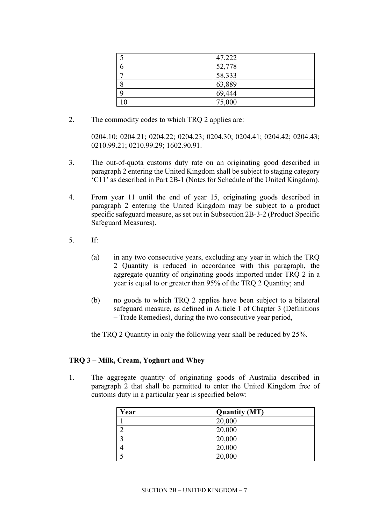| 47,222 |
|--------|
| 52,778 |
| 58,333 |
| 63,889 |
| 69,444 |
| 75,000 |

2. The commodity codes to which TRQ 2 applies are:

0204.10; 0204.21; 0204.22; 0204.23; 0204.30; 0204.41; 0204.42; 0204.43; 0210.99.21; 0210.99.29; 1602.90.91.

- 3. The out-of-quota customs duty rate on an originating good described in paragraph 2 entering the United Kingdom shall be subject to staging category 'C11' as described in Part 2B-1 (Notes for Schedule of the United Kingdom).
- 4. From year 11 until the end of year 15, originating goods described in paragraph 2 entering the United Kingdom may be subject to a product specific safeguard measure, as set out in Subsection 2B-3-2 (Product Specific Safeguard Measures).
- 5. If:
	- (a) in any two consecutive years, excluding any year in which the TRQ 2 Quantity is reduced in accordance with this paragraph, the aggregate quantity of originating goods imported under TRQ 2 in a year is equal to or greater than 95% of the TRQ 2 Quantity; and
	- (b) no goods to which TRQ 2 applies have been subject to a bilateral safeguard measure, as defined in Article 1 of Chapter 3 (Definitions – Trade Remedies), during the two consecutive year period,

the TRQ 2 Quantity in only the following year shall be reduced by 25%.

## **TRQ 3 – Milk, Cream, Yoghurt and Whey**

1. The aggregate quantity of originating goods of Australia described in paragraph 2 that shall be permitted to enter the United Kingdom free of customs duty in a particular year is specified below:

| Year | <b>Quantity (MT)</b> |
|------|----------------------|
|      | 20,000               |
|      | 20,000               |
|      | 20,000               |
|      | 20,000               |
|      | 20,000               |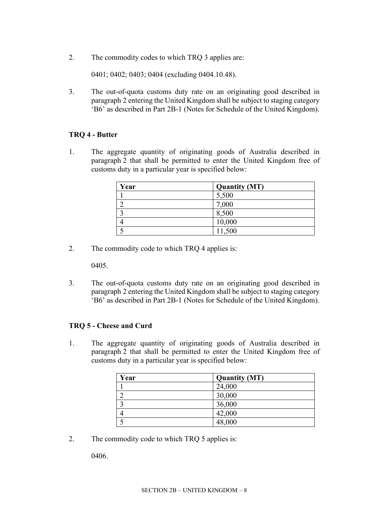2. The commodity codes to which TRQ 3 applies are:

0401; 0402; 0403; 0404 (excluding 0404.10.48).

3. The out-of-quota customs duty rate on an originating good described in paragraph 2 entering the United Kingdom shall be subject to staging category 'B6' as described in Part 2B-1 (Notes for Schedule of the United Kingdom).

## **TRQ 4 - Butter**

1. The aggregate quantity of originating goods of Australia described in paragraph 2 that shall be permitted to enter the United Kingdom free of customs duty in a particular year is specified below:

| Year | <b>Quantity (MT)</b> |
|------|----------------------|
|      | 5,500                |
|      | 7,000                |
|      | 8,500                |
|      | 10,000               |
|      | 11,500               |

2. The commodity code to which TRQ 4 applies is:

0405.

3. The out-of-quota customs duty rate on an originating good described in paragraph 2 entering the United Kingdom shall be subject to staging category 'B6' as described in Part 2B-1 (Notes for Schedule of the United Kingdom).

#### **TRQ 5 - Cheese and Curd**

1. The aggregate quantity of originating goods of Australia described in paragraph 2 that shall be permitted to enter the United Kingdom free of customs duty in a particular year is specified below:

| Year | <b>Quantity (MT)</b> |
|------|----------------------|
|      | 24,000               |
|      | 30,000               |
|      | 36,000               |
|      | 42,000               |
|      | 48,000               |

2. The commodity code to which TRQ 5 applies is:

0406.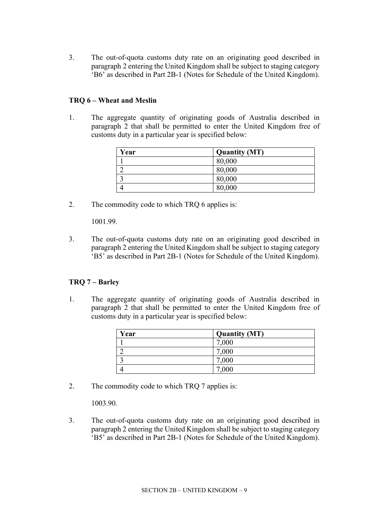3. The out-of-quota customs duty rate on an originating good described in paragraph 2 entering the United Kingdom shall be subject to staging category 'B6' as described in Part 2B-1 (Notes for Schedule of the United Kingdom).

## **TRQ 6 – Wheat and Meslin**

1. The aggregate quantity of originating goods of Australia described in paragraph 2 that shall be permitted to enter the United Kingdom free of customs duty in a particular year is specified below:

| Year | <b>Quantity (MT)</b> |
|------|----------------------|
|      | 80,000               |
|      | 80,000               |
|      | 80,000               |
|      | 80,000               |

2. The commodity code to which TRQ 6 applies is:

1001.99.

3. The out-of-quota customs duty rate on an originating good described in paragraph 2 entering the United Kingdom shall be subject to staging category 'B5' as described in Part 2B-1 (Notes for Schedule of the United Kingdom).

## **TRQ 7 – Barley**

1. The aggregate quantity of originating goods of Australia described in paragraph 2 that shall be permitted to enter the United Kingdom free of customs duty in a particular year is specified below:

| Year | <b>Quantity (MT)</b> |
|------|----------------------|
|      | 7,000                |
|      | 7,000                |
|      | 7,000                |
|      | 7,000                |

2. The commodity code to which TRQ 7 applies is:

1003.90.

3. The out-of-quota customs duty rate on an originating good described in paragraph 2 entering the United Kingdom shall be subject to staging category 'B5' as described in Part 2B-1 (Notes for Schedule of the United Kingdom).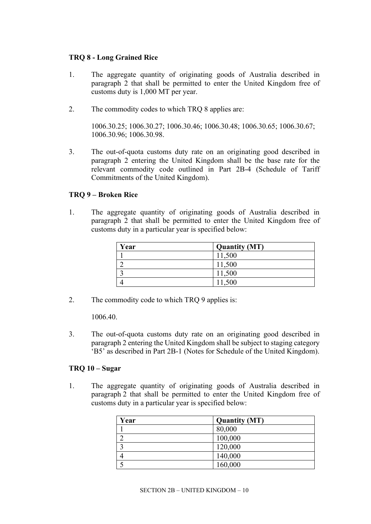## **TRQ 8 - Long Grained Rice**

- 1. The aggregate quantity of originating goods of Australia described in paragraph 2 that shall be permitted to enter the United Kingdom free of customs duty is 1,000 MT per year.
- 2. The commodity codes to which TRQ 8 applies are:

1006.30.25; 1006.30.27; 1006.30.46; 1006.30.48; 1006.30.65; 1006.30.67; 1006.30.96; 1006.30.98.

3. The out-of-quota customs duty rate on an originating good described in paragraph 2 entering the United Kingdom shall be the base rate for the relevant commodity code outlined in Part 2B-4 (Schedule of Tariff Commitments of the United Kingdom).

### **TRQ 9 – Broken Rice**

1. The aggregate quantity of originating goods of Australia described in paragraph 2 that shall be permitted to enter the United Kingdom free of customs duty in a particular year is specified below:

| Year | <b>Quantity (MT)</b> |
|------|----------------------|
|      | 11,500               |
|      | 11,500               |
|      | 11,500               |
|      | 11,500               |

2. The commodity code to which TRQ 9 applies is:

1006.40.

3. The out-of-quota customs duty rate on an originating good described in paragraph 2 entering the United Kingdom shall be subject to staging category 'B5' as described in Part 2B-1 (Notes for Schedule of the United Kingdom).

# **TRQ 10 – Sugar**

1. The aggregate quantity of originating goods of Australia described in paragraph 2 that shall be permitted to enter the United Kingdom free of customs duty in a particular year is specified below:

| Year | <b>Quantity (MT)</b> |
|------|----------------------|
|      | 80,000               |
|      | 100,000              |
|      | 120,000              |
|      | 140,000              |
|      | 160,000              |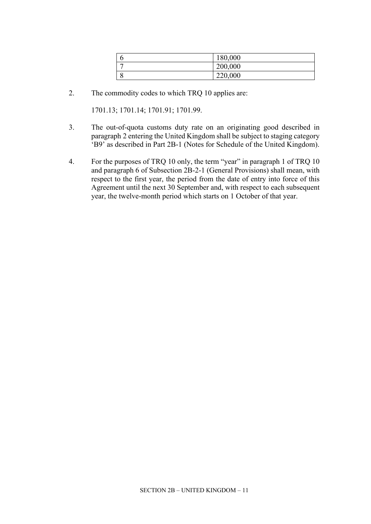|   | 180,000 |
|---|---------|
| - | 200,000 |
|   | 220,000 |

2. The commodity codes to which TRQ 10 applies are:

1701.13; 1701.14; 1701.91; 1701.99.

- 3. The out-of-quota customs duty rate on an originating good described in paragraph 2 entering the United Kingdom shall be subject to staging category 'B9' as described in Part 2B-1 (Notes for Schedule of the United Kingdom).
- 4. For the purposes of TRQ 10 only, the term "year" in paragraph 1 of TRQ 10 and paragraph 6 of Subsection 2B-2-1 (General Provisions) shall mean, with respect to the first year, the period from the date of entry into force of this Agreement until the next 30 September and, with respect to each subsequent year, the twelve-month period which starts on 1 October of that year.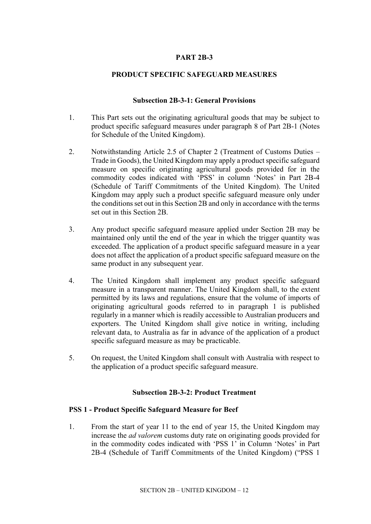## **PART 2B-3**

### **PRODUCT SPECIFIC SAFEGUARD MEASURES**

#### **Subsection 2B-3-1: General Provisions**

- 1. This Part sets out the originating agricultural goods that may be subject to product specific safeguard measures under paragraph 8 of Part 2B-1 (Notes for Schedule of the United Kingdom).
- 2. Notwithstanding Article 2.5 of Chapter 2 (Treatment of Customs Duties Trade in Goods), the United Kingdom may apply a product specific safeguard measure on specific originating agricultural goods provided for in the commodity codes indicated with 'PSS' in column 'Notes' in Part 2B-4 (Schedule of Tariff Commitments of the United Kingdom). The United Kingdom may apply such a product specific safeguard measure only under the conditions set out in this Section 2B and only in accordance with the terms set out in this Section 2B.
- 3. Any product specific safeguard measure applied under Section 2B may be maintained only until the end of the year in which the trigger quantity was exceeded. The application of a product specific safeguard measure in a year does not affect the application of a product specific safeguard measure on the same product in any subsequent year.
- 4. The United Kingdom shall implement any product specific safeguard measure in a transparent manner. The United Kingdom shall, to the extent permitted by its laws and regulations, ensure that the volume of imports of originating agricultural goods referred to in paragraph 1 is published regularly in a manner which is readily accessible to Australian producers and exporters. The United Kingdom shall give notice in writing, including relevant data, to Australia as far in advance of the application of a product specific safeguard measure as may be practicable.
- 5. On request, the United Kingdom shall consult with Australia with respect to the application of a product specific safeguard measure.

#### **Subsection 2B-3-2: Product Treatment**

#### **PSS 1 - Product Specific Safeguard Measure for Beef**

1. From the start of year 11 to the end of year 15, the United Kingdom may increase the *ad valorem* customs duty rate on originating goods provided for in the commodity codes indicated with 'PSS 1' in Column 'Notes' in Part 2B-4 (Schedule of Tariff Commitments of the United Kingdom) ("PSS 1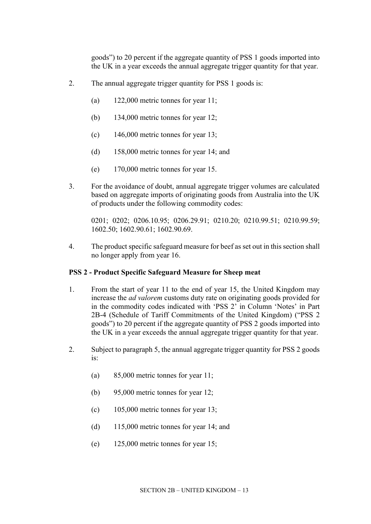goods") to 20 percent if the aggregate quantity of PSS 1 goods imported into the UK in a year exceeds the annual aggregate trigger quantity for that year.

- 2. The annual aggregate trigger quantity for PSS 1 goods is:
	- (a) 122,000 metric tonnes for year 11;
	- (b) 134,000 metric tonnes for year 12;
	- (c)  $146,000$  metric tonnes for year 13;
	- (d) 158,000 metric tonnes for year 14; and
	- (e) 170,000 metric tonnes for year 15.
- 3. For the avoidance of doubt, annual aggregate trigger volumes are calculated based on aggregate imports of originating goods from Australia into the UK of products under the following commodity codes:

0201; 0202; 0206.10.95; 0206.29.91; 0210.20; 0210.99.51; 0210.99.59; 1602.50; 1602.90.61; 1602.90.69.

4. The product specific safeguard measure for beef as set out in this section shall no longer apply from year 16.

#### **PSS 2 - Product Specific Safeguard Measure for Sheep meat**

- 1. From the start of year 11 to the end of year 15, the United Kingdom may increase the *ad valorem* customs duty rate on originating goods provided for in the commodity codes indicated with 'PSS 2' in Column 'Notes' in Part 2B-4 (Schedule of Tariff Commitments of the United Kingdom) ("PSS 2 goods") to 20 percent if the aggregate quantity of PSS 2 goods imported into the UK in a year exceeds the annual aggregate trigger quantity for that year.
- 2. Subject to paragraph 5, the annual aggregate trigger quantity for PSS 2 goods is:
	- (a) 85,000 metric tonnes for year 11;
	- (b) 95,000 metric tonnes for year 12;
	- (c)  $105,000$  metric tonnes for year 13;
	- (d) 115,000 metric tonnes for year 14; and
	- (e) 125,000 metric tonnes for year 15;